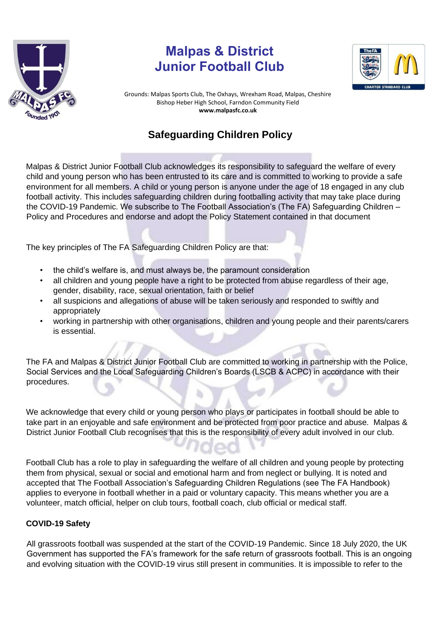

## **Malpas & District Junior Football Club**



Grounds: Malpas Sports Club, The Oxhays, Wrexham Road, Malpas, Cheshire Bishop Heber High Sch[oo](http://www.malpasfc.co.uk/)l, Farndon Community Field **www.malpasfc.co.uk** 

## **Safeguarding Children Policy**

Malpas & District Junior Football Club acknowledges its responsibility to safeguard the welfare of every child and young person who has been entrusted to its care and is committed to working to provide a safe environment for all members. A child or young person is anyone under the age of 18 engaged in any club football activity. This includes safeguarding children during footballing activity that may take place during the COVID-19 Pandemic. We subscribe to The Football Association's (The FA) Safeguarding Children – Policy and Procedures and endorse and adopt the Policy Statement contained in that document

The key principles of The FA Safeguarding Children Policy are that:

- the child's welfare is, and must always be, the paramount consideration
- all children and young people have a right to be protected from abuse regardless of their age, gender, disability, race, sexual orientation, faith or belief
- all suspicions and allegations of abuse will be taken seriously and responded to swiftly and appropriately
- working in partnership with other organisations, children and young people and their parents/carers is essential.

The FA and Malpas & District Junior Football Club are committed to working in partnership with the Police, Social Services and the Local Safeguarding Children's Boards (LSCB & ACPC) in accordance with their procedures.

We acknowledge that every child or young person who plays or participates in football should be able to take part in an enjoyable and safe environment and be protected from poor practice and abuse. Malpas & District Junior Football Club recognises that this is the responsibility of every adult involved in our club.

Football Club has a role to play in safeguarding the welfare of all children and young people by protecting them from physical, sexual or social and emotional harm and from neglect or bullying. It is noted and accepted that The Football Association's Safeguarding Children Regulations (see The FA Handbook) applies to everyone in football whether in a paid or voluntary capacity. This means whether you are a volunteer, match official, helper on club tours, football coach, club official or medical staff.

## **COVID-19 Safety**

All grassroots football was suspended at the start of the COVID-19 Pandemic. Since 18 July 2020, the UK Government has supported the FA's framework for the safe return of grassroots football. This is an ongoing and evolving situation with the COVID-19 virus still present in communities. It is impossible to refer to the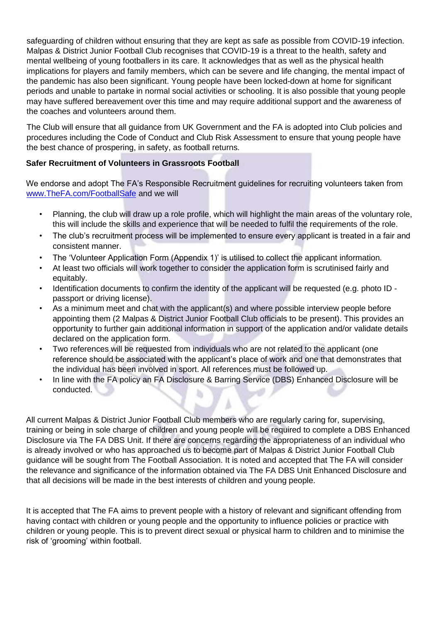safeguarding of children without ensuring that they are kept as safe as possible from COVID-19 infection. Malpas & District Junior Football Club recognises that COVID-19 is a threat to the health, safety and mental wellbeing of young footballers in its care. It acknowledges that as well as the physical health implications for players and family members, which can be severe and life changing, the mental impact of the pandemic has also been significant. Young people have been locked-down at home for significant periods and unable to partake in normal social activities or schooling. It is also possible that young people may have suffered bereavement over this time and may require additional support and the awareness of the coaches and volunteers around them.

The Club will ensure that all guidance from UK Government and the FA is adopted into Club policies and procedures including the Code of Conduct and Club Risk Assessment to ensure that young people have the best chance of prospering, in safety, as football returns.

## **Safer Recruitment of Volunteers in Grassroots Football**

We endorse and adopt The FA's Responsible Recruitment guidelines for recruiting volunteers taken from www.TheFA.com/FootballSafe [an](http://www.thefa.com/Goal)d we will

- Planning, the club will draw up a role profile, which will highlight the main areas of the voluntary role, this will include the skills and experience that will be needed to fulfil the requirements of the role.
- The club's recruitment process will be implemented to ensure every applicant is treated in a fair and consistent manner.
- The 'Volunteer Application Form (Appendix 1)' is utilised to collect the applicant information.
- At least two officials will work together to consider the application form is scrutinised fairly and equitably.
- Identification documents to confirm the identity of the applicant will be requested (e.g. photo ID passport or driving license).
- As a minimum meet and chat with the applicant(s) and where possible interview people before appointing them (2 Malpas & District Junior Football Club officials to be present). This provides an opportunity to further gain additional information in support of the application and/or validate details declared on the application form.
- Two references will be requested from individuals who are not related to the applicant (one reference should be associated with the applicant's place of work and one that demonstrates that the individual has been involved in sport. All references must be followed up.
- In line with the FA policy an FA Disclosure & Barring Service (DBS) Enhanced Disclosure will be conducted. ы

All current Malpas & District Junior Football Club members who are regularly caring for, supervising, training or being in sole charge of children and young people will be required to complete a DBS Enhanced Disclosure via The FA DBS Unit. If there are concerns regarding the appropriateness of an individual who is already involved or who has approached us to become part of Malpas & District Junior Football Club guidance will be sought from The Football Association. It is noted and accepted that The FA will consider the relevance and significance of the information obtained via The FA DBS Unit Enhanced Disclosure and that all decisions will be made in the best interests of children and young people.

It is accepted that The FA aims to prevent people with a history of relevant and significant offending from having contact with children or young people and the opportunity to influence policies or practice with children or young people. This is to prevent direct sexual or physical harm to children and to minimise the risk of 'grooming' within football.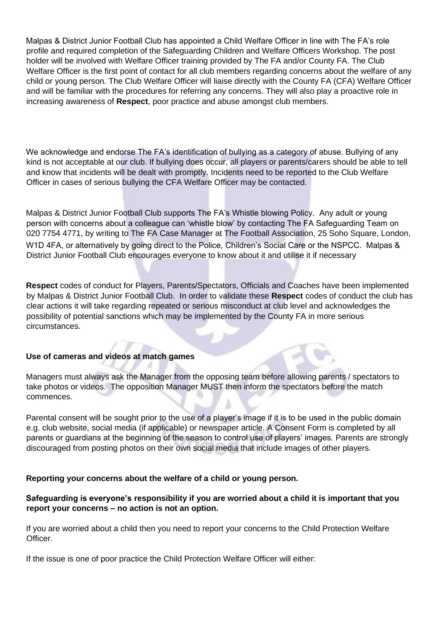Malpas & District Junior Football Club has appointed a Child Welfare Officer in line with The FA's role profile and required completion of the Safeguarding Children and Welfare Officers Workshop. The post holder will be involved with Welfare Officer training provided by The FA and/or County FA. The Club Welfare Officer is the first point of contact for all club members regarding concerns about the welfare of any child or young person. The Club Welfare Officer will liaise directly with the County FA (CFA) Welfare Officer and will be familiar with the procedures for referring any concerns. They will also play a proactive role in increasing awareness of **Respect**, poor practice and abuse amongst club members.

We acknowledge and endorse The FA's identification of bullying as a category of abuse. Bullying of any kind is not acceptable at our club. If bullying does occur, all players or parents/carers should be able to tell and know that incidents will be dealt with promptly. Incidents need to be reported to the Club Welfare Officer in cases of serious bullying the CFA Welfare Officer may be contacted.

Malpas & District Junior Football Club supports The FA's Whistle blowing Policy. Any adult or young person with concerns about a colleague can 'whistle blow' by contacting The FA Safeguarding Team on 020 7754 4771, by writing to The FA Case Manager at The Football Association, 25 Soho Square, London, W1D 4FA, or alternatively by going direct to the Police, Children's Social Care or the NSPCC. Malpas & District Junior Football Club encourages everyone to know about it and utilise it if necessary

**Respect** codes of conduct for Players, Parents/Spectators, Officials and Coaches have been implemented by Malpas & District Junior Football Club. In order to validate these **Respect** codes of conduct the club has clear actions it will take regarding repeated or serious misconduct at club level and acknowledges the possibility of potential sanctions which may be implemented by the County FA in more serious circumstances.

## **Use of cameras and videos at match games**

Managers must always ask the Manager from the opposing team before allowing parents / spectators to take photos or videos. The opposition Manager MUST then inform the spectators before the match commences.

Parental consent will be sought prior to the use of a player's image if it is to be used in the public domain e.g. club website, social media (if applicable) or newspaper article. A Consent Form is completed by all parents or guardians at the beginning of the season to control use of players' images. Parents are strongly discouraged from posting photos on their own social media that include images of other players.

## **Reporting your concerns about the welfare of a child or young person.**

## **Safeguarding is everyone's responsibility if you are worried about a child it is important that you report your concerns – no action is not an option.**

If you are worried about a child then you need to report your concerns to the Child Protection Welfare Officer.

If the issue is one of poor practice the Child Protection Welfare Officer will either: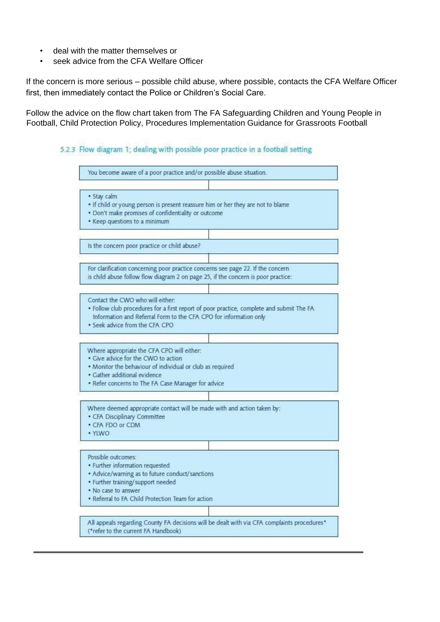- deal with the matter themselves or
- seek advice from the CFA Welfare Officer

If the concern is more serious – possible child abuse, where possible, contacts the CFA Welfare Officer first, then immediately contact the Police or Children's Social Care.

Follow the advice on the flow chart taken from The FA Safeguarding Children and Young People in Football, Child Protection Policy, Procedures Implementation Guidance for Grassroots Football

## 5.2.3 Flow diagram 1; dealing with possible poor practice in a football setting

| · Stay calm<br>. Don't make promises of confidentiality or outcome<br>• Keep questions to a minimum                                                                                                                                                                                                                                                                                                                                                              | . If child or young person is present reassure him or her they are not to blame                                                                                      |
|------------------------------------------------------------------------------------------------------------------------------------------------------------------------------------------------------------------------------------------------------------------------------------------------------------------------------------------------------------------------------------------------------------------------------------------------------------------|----------------------------------------------------------------------------------------------------------------------------------------------------------------------|
| Is the concern poor practice or child abuse?                                                                                                                                                                                                                                                                                                                                                                                                                     |                                                                                                                                                                      |
|                                                                                                                                                                                                                                                                                                                                                                                                                                                                  | For clarification concerning poor practice concerns see page 22. If the concern<br>is child abuse follow flow diagram 2 on page 25, if the concern is poor practice: |
| Contact the CWO who will either:<br>. Seek advice from the CFA CPO                                                                                                                                                                                                                                                                                                                                                                                               | . Follow club procedures for a first report of poor practice, complete and submit The FA<br>Information and Referral Form to the CFA CPO for information only        |
|                                                                                                                                                                                                                                                                                                                                                                                                                                                                  |                                                                                                                                                                      |
|                                                                                                                                                                                                                                                                                                                                                                                                                                                                  |                                                                                                                                                                      |
|                                                                                                                                                                                                                                                                                                                                                                                                                                                                  |                                                                                                                                                                      |
|                                                                                                                                                                                                                                                                                                                                                                                                                                                                  |                                                                                                                                                                      |
| · YLWO                                                                                                                                                                                                                                                                                                                                                                                                                                                           | Where deemed appropriate contact will be made with and action taken by:                                                                                              |
|                                                                                                                                                                                                                                                                                                                                                                                                                                                                  |                                                                                                                                                                      |
| · Referral to FA Child Protection Team for action                                                                                                                                                                                                                                                                                                                                                                                                                |                                                                                                                                                                      |
| Where appropriate the CFA CPO will either:<br>· Give advice for the CWO to action<br>. Monitor the behaviour of individual or club as required<br>• Gather additional evidence<br>. Refer concerns to The FA Case Manager for advice<br>· CFA Disciplinary Committee<br>• CFA FDO or CDM<br>Possible outcomes:<br>• Further information requested<br>• Advice/warning as to future conduct/sanctions<br>· Further training/support needed<br>. No case to answer |                                                                                                                                                                      |

í,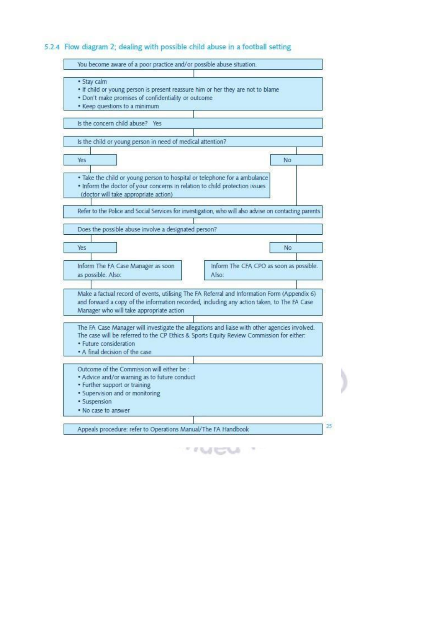## 5.2.4 Flow diagram 2; dealing with possible child abuse in a football setting

| · Stay calm                                                                     |                                                                                                       |
|---------------------------------------------------------------------------------|-------------------------------------------------------------------------------------------------------|
| . If child or young person is present reassure him or her they are not to blame |                                                                                                       |
| . Don't make promises of confidentiality or outcome                             |                                                                                                       |
| • Keep questions to a minimum                                                   |                                                                                                       |
|                                                                                 |                                                                                                       |
| Is the concern child abuse? Yes                                                 |                                                                                                       |
|                                                                                 |                                                                                                       |
| is the child or young person in need of medical attention?                      |                                                                                                       |
| Yes                                                                             | No                                                                                                    |
|                                                                                 |                                                                                                       |
| . Take the child or young person to hospital or telephone for a ambulance       |                                                                                                       |
| . Inform the doctor of your concerns in relation to child protection issues     |                                                                                                       |
| (doctor will take appropriate action)                                           |                                                                                                       |
|                                                                                 |                                                                                                       |
|                                                                                 | Refer to the Police and Social Services for investigation, who will also advise on contacting parents |
|                                                                                 |                                                                                                       |
| Does the possible abuse involve a designated person?                            |                                                                                                       |
|                                                                                 |                                                                                                       |
| Yes                                                                             | No.                                                                                                   |
|                                                                                 |                                                                                                       |
| Inform The FA Case Manager as soon                                              | Inform The CFA CPO as soon as possible.                                                               |
| as possible. Also:                                                              | Also:                                                                                                 |
|                                                                                 |                                                                                                       |
|                                                                                 | Make a factual record of events, utilising The FA Referral and Information Form (Appendix 6)          |
|                                                                                 | and forward a copy of the information recorded, including any action taken, to The FA Case            |
| Manager who will take appropriate action                                        |                                                                                                       |
|                                                                                 |                                                                                                       |
|                                                                                 | The FA Case Manager will investigate the allegations and liaise with other agencies involved.         |
|                                                                                 | The case will be referred to the CP Ethics & Sports Equity Review Commission for either:              |
| · Future consideration                                                          |                                                                                                       |
| • A final decision of the case                                                  |                                                                                                       |
| Outcome of the Commission will either be :                                      |                                                                                                       |
| • Advice and/or warning as to future conduct                                    |                                                                                                       |
| • Further support or training                                                   |                                                                                                       |
| · Supervision and or monitoring                                                 |                                                                                                       |
| · Suspension                                                                    |                                                                                                       |
| . No case to answer.                                                            |                                                                                                       |
|                                                                                 |                                                                                                       |
|                                                                                 |                                                                                                       |

 $\mathcal{F} \in \mathcal{F}(\mathcal{F}_0)$  . Let  $\mathcal{F} \in \mathcal{F}(\mathcal{F}_0)$ 

)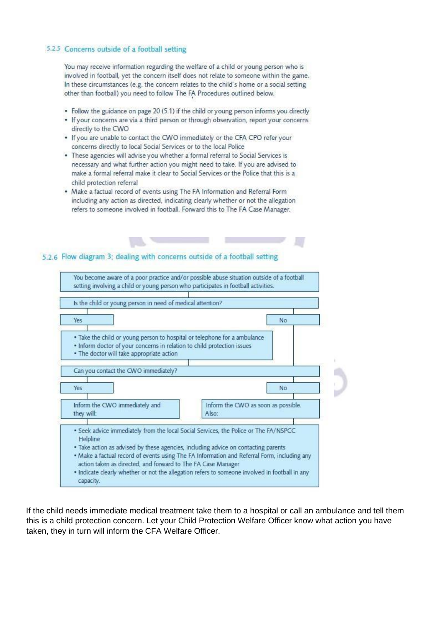#### 5.2.5 Concerns outside of a football setting

You may receive information regarding the welfare of a child or young person who is involved in football, yet the concern itself does not relate to someone within the game. In these circumstances (e.g. the concern relates to the child's home or a social setting other than football) you need to follow The FA Procedures outlined below.

- Follow the guidance on page 20 (5.1) if the child or young person informs you directly
- If your concerns are via a third person or through observation, report your concerns directly to the CWO
- . If you are unable to contact the CWO immediately or the CFA CPO refer your concerns directly to local Social Services or to the local Police
- These agencies will advise you whether a formal referral to Social Services is necessary and what further action you might need to take. If you are advised to make a formal referral make it clear to Social Services or the Police that this is a child protection referral
- Make a factual record of events using The FA Information and Referral Form including any action as directed, indicating clearly whether or not the allegation refers to someone involved in football. Forward this to The FA Case Manager.

### 5.2.6 Flow diagram 3: dealing with concerns outside of a football setting



If the child needs immediate medical treatment take them to a hospital or call an ambulance and tell them this is a child protection concern. Let your Child Protection Welfare Officer know what action you have taken, they in turn will inform the CFA Welfare Officer.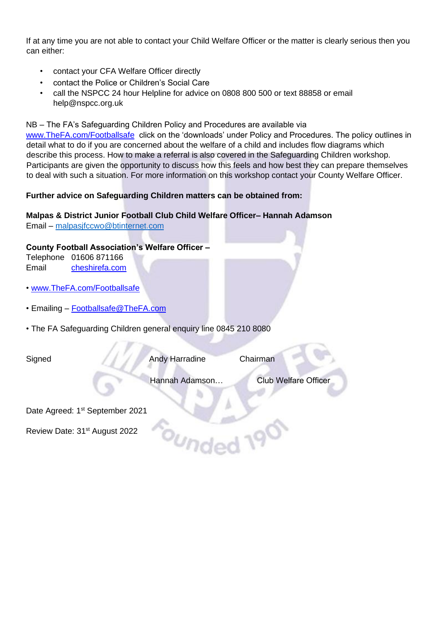If at any time you are not able to contact your Child Welfare Officer or the matter is clearly serious then you can either:

- contact your CFA Welfare Officer directly
- contact the Police or Children's Social Care
- call the NSPCC 24 hour Helpline for advice on 0808 800 500 or text 88858 or email help@nspcc.org.uk

NB – The FA's Safeguarding Children Policy and Procedures are available via

[www.TheFA.com/Footballsafe c](http://www.thefa.com/Footballsafe)lick on the 'downloads' under Policy and Procedures. The policy outlines in detail what to do if you are concerned about the welfare of a child and includes flow diagrams which describe this process. How to make a referral is also covered in the Safeguarding Children workshop. Participants are given the opportunity to discuss how this feels and how best they can prepare themselves to deal with such a situation. For more information on this workshop contact your County Welfare Officer.

## **Further advice on Safeguarding Children matters can be obtained from:**

## **Malpas & District Junior Football Club Child Welfare Officer– Hannah Adamson**

Email – [malpasjfccwo@btinternet.com](mailto:malpasjfccwo@btinternet.com)

## **County Football Association's Welfare Officer –**

Telephone 01606 871166 Email cheshirefa.com

- [www.TheFA.com/Footballsafe](http://www.thefa.com/Footballsafe)
- Emailing Footballsafe@TheFA.com
- The FA Safeguarding Children general enquiry line 0845 210 8080

Signed Andy Harradine Chairman

c<sub>ounde</sub>

Hannah Adamson… Club Welfare Officer

Date Agreed: 1<sup>st</sup> September 2021

Review Date: 31<sup>st</sup> August 2022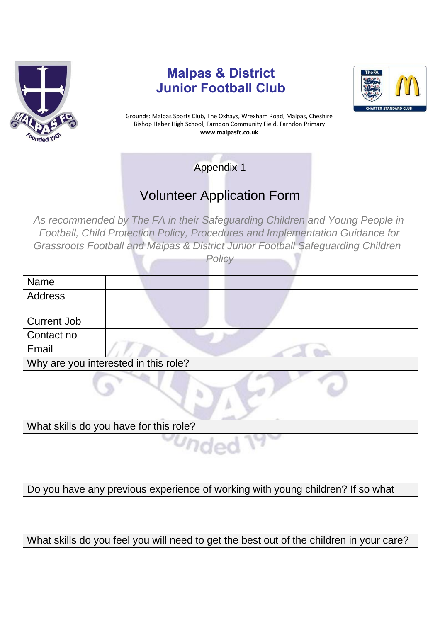

## **Malpas & District Junior Football Club**



Grounds: Malpas Sports Club, The Oxhays, Wrexham Road, Malpas, Cheshire Bishop Heber High School, Farndon Community Field, Farndon Primary **www.malpasfc.co.uk** 

Appendix 1

# Volunteer Application Form

*As recommended by The FA in their Safeguarding Children and Young People in Football, Child Protection Policy, Procedures and Implementation Guidance for Grassroots Football and Malpas & District Junior Football Safeguarding Children* 

|--|

| <b>Name</b>                                                                    |                                                                                         |  |
|--------------------------------------------------------------------------------|-----------------------------------------------------------------------------------------|--|
| <b>Address</b>                                                                 |                                                                                         |  |
|                                                                                |                                                                                         |  |
| <b>Current Job</b>                                                             |                                                                                         |  |
| Contact no                                                                     |                                                                                         |  |
| Email                                                                          |                                                                                         |  |
|                                                                                | Why are you interested in this role?                                                    |  |
|                                                                                |                                                                                         |  |
|                                                                                | What skills do you have for this role?                                                  |  |
|                                                                                |                                                                                         |  |
| Do you have any previous experience of working with young children? If so what |                                                                                         |  |
|                                                                                |                                                                                         |  |
|                                                                                | What skills do you feel you will need to get the best out of the children in your care? |  |